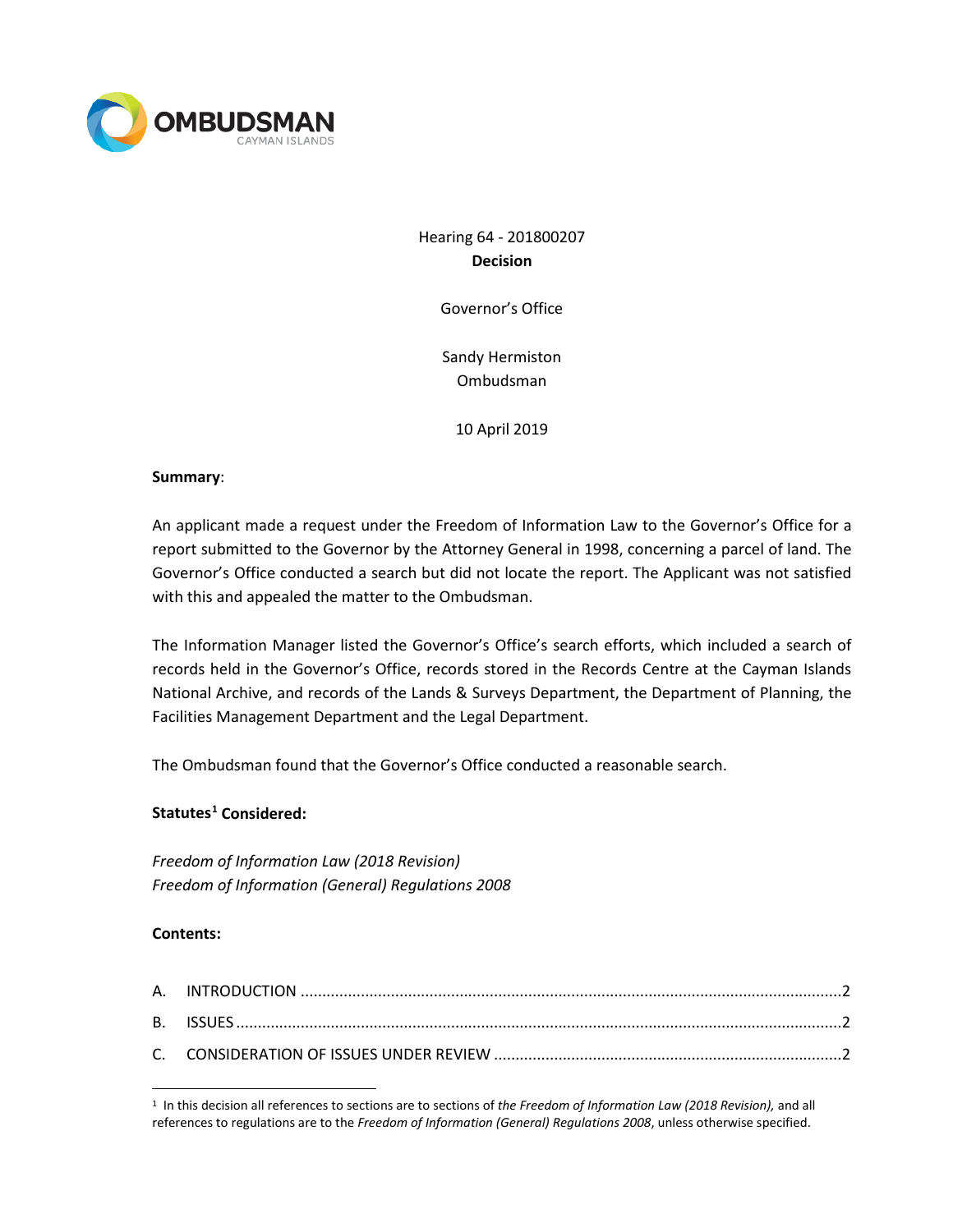

Hearing 64 - 201800207 **Decision**

Governor's Office

Sandy Hermiston Ombudsman

10 April 2019

### **Summary**:

An applicant made a request under the Freedom of Information Law to the Governor's Office for a report submitted to the Governor by the Attorney General in 1998, concerning a parcel of land. The Governor's Office conducted a search but did not locate the report. The Applicant was not satisfied with this and appealed the matter to the Ombudsman.

The Information Manager listed the Governor's Office's search efforts, which included a search of records held in the Governor's Office, records stored in the Records Centre at the Cayman Islands National Archive, and records of the Lands & Surveys Department, the Department of Planning, the Facilities Management Department and the Legal Department.

The Ombudsman found that the Governor's Office conducted a reasonable search.

# **Statutes[1](#page-0-0) Considered:**

*Freedom of Information Law (2018 Revision) Freedom of Information (General) Regulations 2008*

# **Contents:**

<span id="page-0-0"></span> <sup>1</sup> In this decision all references to sections are to sections of *the Freedom of Information Law (2018 Revision),* and all references to regulations are to the *Freedom of Information (General) Regulations 2008*, unless otherwise specified.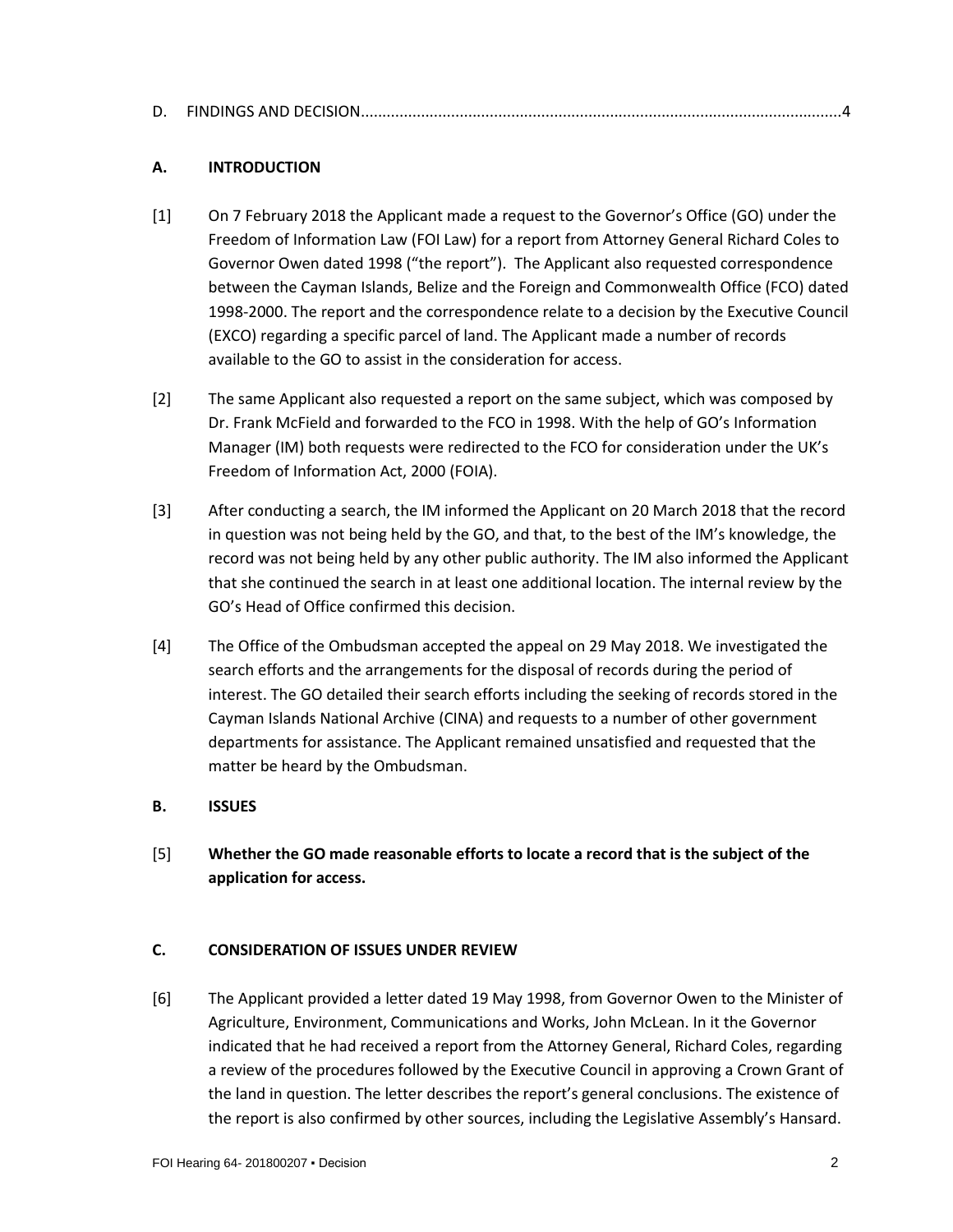| D. |  |  |
|----|--|--|
|----|--|--|

# **A. INTRODUCTION**

- [1] On 7 February 2018 the Applicant made a request to the Governor's Office (GO) under the Freedom of Information Law (FOI Law) for a report from Attorney General Richard Coles to Governor Owen dated 1998 ("the report"). The Applicant also requested correspondence between the Cayman Islands, Belize and the Foreign and Commonwealth Office (FCO) dated 1998-2000. The report and the correspondence relate to a decision by the Executive Council (EXCO) regarding a specific parcel of land. The Applicant made a number of records available to the GO to assist in the consideration for access.
- [2] The same Applicant also requested a report on the same subject, which was composed by Dr. Frank McField and forwarded to the FCO in 1998. With the help of GO's Information Manager (IM) both requests were redirected to the FCO for consideration under the UK's Freedom of Information Act, 2000 (FOIA).
- [3] After conducting a search, the IM informed the Applicant on 20 March 2018 that the record in question was not being held by the GO, and that, to the best of the IM's knowledge, the record was not being held by any other public authority. The IM also informed the Applicant that she continued the search in at least one additional location. The internal review by the GO's Head of Office confirmed this decision.
- [4] The Office of the Ombudsman accepted the appeal on 29 May 2018. We investigated the search efforts and the arrangements for the disposal of records during the period of interest. The GO detailed their search efforts including the seeking of records stored in the Cayman Islands National Archive (CINA) and requests to a number of other government departments for assistance. The Applicant remained unsatisfied and requested that the matter be heard by the Ombudsman.

### **B. ISSUES**

[5] **Whether the GO made reasonable efforts to locate a record that is the subject of the application for access.** 

### **C. CONSIDERATION OF ISSUES UNDER REVIEW**

[6] The Applicant provided a letter dated 19 May 1998, from Governor Owen to the Minister of Agriculture, Environment, Communications and Works, John McLean. In it the Governor indicated that he had received a report from the Attorney General, Richard Coles, regarding a review of the procedures followed by the Executive Council in approving a Crown Grant of the land in question. The letter describes the report's general conclusions. The existence of the report is also confirmed by other sources, including the Legislative Assembly's Hansard.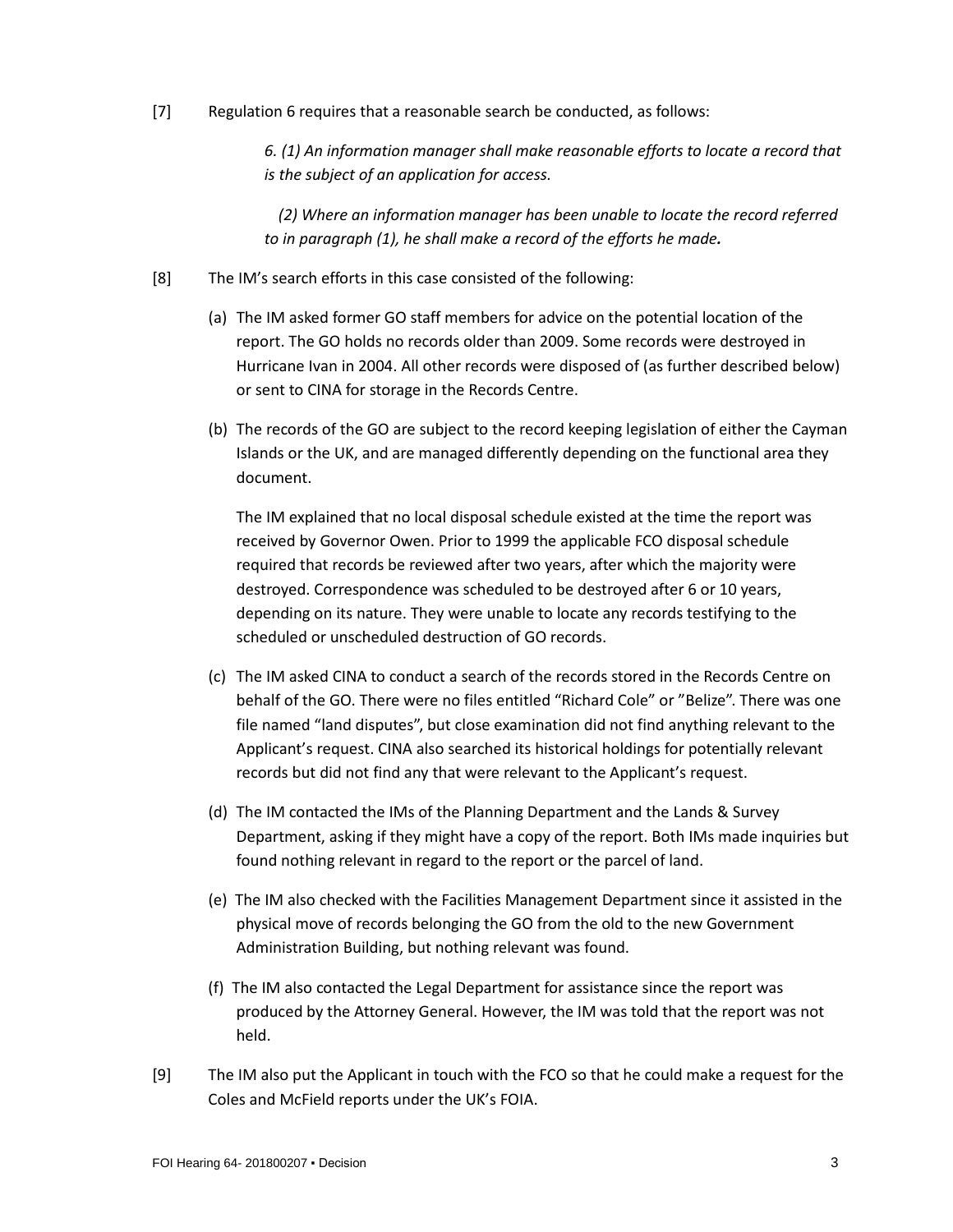#### [7] Regulation 6 requires that a reasonable search be conducted, as follows:

*6. (1) An information manager shall make reasonable efforts to locate a record that is the subject of an application for access.*

*(2) Where an information manager has been unable to locate the record referred to in paragraph (1), he shall make a record of the efforts he made.*

- [8] The IM's search efforts in this case consisted of the following:
	- (a) The IM asked former GO staff members for advice on the potential location of the report. The GO holds no records older than 2009. Some records were destroyed in Hurricane Ivan in 2004. All other records were disposed of (as further described below) or sent to CINA for storage in the Records Centre.
	- (b) The records of the GO are subject to the record keeping legislation of either the Cayman Islands or the UK, and are managed differently depending on the functional area they document.

The IM explained that no local disposal schedule existed at the time the report was received by Governor Owen. Prior to 1999 the applicable FCO disposal schedule required that records be reviewed after two years, after which the majority were destroyed. Correspondence was scheduled to be destroyed after 6 or 10 years, depending on its nature. They were unable to locate any records testifying to the scheduled or unscheduled destruction of GO records.

- (c) The IM asked CINA to conduct a search of the records stored in the Records Centre on behalf of the GO. There were no files entitled "Richard Cole" or "Belize". There was one file named "land disputes", but close examination did not find anything relevant to the Applicant's request. CINA also searched its historical holdings for potentially relevant records but did not find any that were relevant to the Applicant's request.
- (d) The IM contacted the IMs of the Planning Department and the Lands & Survey Department, asking if they might have a copy of the report. Both IMs made inquiries but found nothing relevant in regard to the report or the parcel of land.
- (e) The IM also checked with the Facilities Management Department since it assisted in the physical move of records belonging the GO from the old to the new Government Administration Building, but nothing relevant was found.
- (f) The IM also contacted the Legal Department for assistance since the report was produced by the Attorney General. However, the IM was told that the report was not held.
- [9] The IM also put the Applicant in touch with the FCO so that he could make a request for the Coles and McField reports under the UK's FOIA.